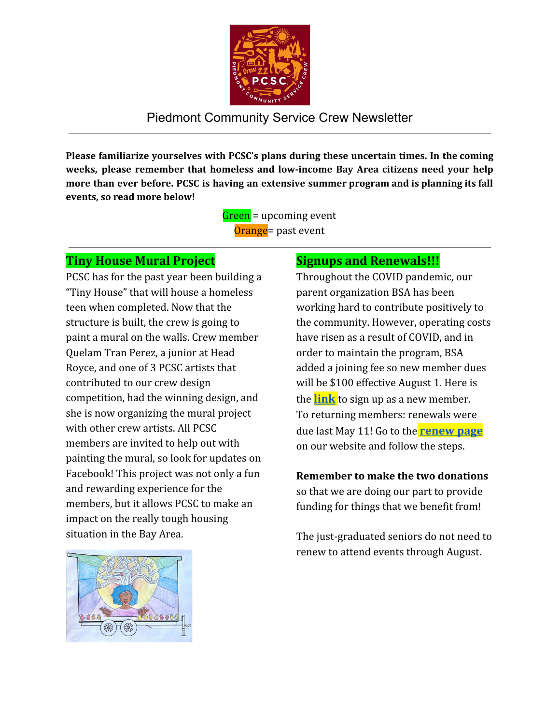

## Piedmont Community Service Crew Newsletter

**Please familiarize yourselves with PCSC's plans during these uncertain times. In the coming weeks, please remember that homeless and low-income Bay Area citizens need your help more than ever before. PCSC is having an extensive summer program and is planning its fall events, so read more below!**

> Green = upcoming event Orange = past event

### **Tiny House Mural Project**

PCSC has for the past year been building a "Tiny House" that will house a homeless teen when completed. Now that the structure is built, the crew is going to paint a mural on the walls. Crew member Quelam Tran Perez, a junior at Head Royce, and one of 3 PCSC artists that contributed to our crew design competition, had the winning design, and she is now organizing the mural project with other crew artists. All PCSC members are invited to help out with painting the mural, so look for updates on Facebook! This project was not only a fun and rewarding experience for the members, but it allows PCSC to make an impact on the really tough housing situation in the Bay Area.

## **Signups and Renewals!!!**

Throughout the COVID pandemic, our parent organization BSA has been working hard to contribute positively to the community. However, operating costs have risen as a result of COVID, and in order to maintain the program, BSA added a joining fee so new member dues will be \$100 effective August 1. Here is the **[link](https://www.pcservicecrew.org/new-member)** to sign up as a new member. To returning members: renewals were due last May 11! Go to the **[renew](https://www.pcservicecrew.org/renewing-member) page** on our website and follow the steps.

#### **Remember to make the two donations** so that we are doing our part to provide funding for things that we benefit from!

The just-graduated seniors do not need to renew to attend events through August.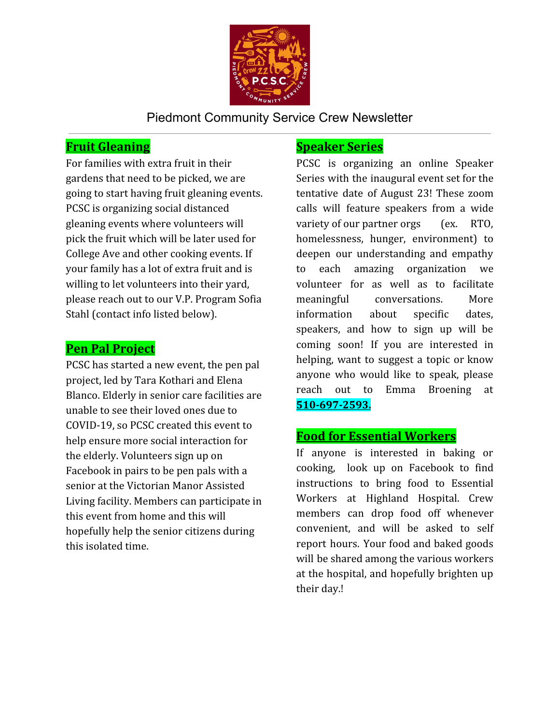

Piedmont Community Service Crew Newsletter

## **Fruit Gleaning**

For families with extra fruit in their gardens that need to be picked, we are going to start having fruit gleaning events. PCSC is organizing social distanced gleaning events where volunteers will pick the fruit which will be later used for College Ave and other cooking events. If your family has a lot of extra fruit and is willing to let volunteers into their yard, please reach out to our V.P. Program Sofia Stahl (contact info listed below).

### **Pen Pal Project**

PCSC has started a new event, the pen pal project, led by Tara Kothari and Elena Blanco. Elderly in senior care facilities are unable to see their loved ones due to COVID-19, so PCSC created this event to help ensure more social interaction for the elderly. Volunteers sign up on Facebook in pairs to be pen pals with a senior at the Victorian Manor Assisted Living facility. Members can participate in this event from home and this will hopefully help the senior citizens during this isolated time.

#### **Speaker Series**

PCSC is organizing an online Speaker Series with the inaugural event set for the tentative date of August 23! These zoom calls will feature speakers from a wide variety of our partner orgs (ex. RTO, homelessness, hunger, environment) to deepen our understanding and empathy to each amazing organization we volunteer for as well as to facilitate meaningful conversations. More information about specific dates, speakers, and how to sign up will be coming soon! If you are interested in helping, want to suggest a topic or know anyone who would like to speak, please reach out to Emma Broening at **510-697-2593.**

## **Food for Essential Workers**

If anyone is interested in baking or cooking, look up on Facebook to find instructions to bring food to Essential Workers at Highland Hospital. Crew members can drop food off whenever convenient, and will be asked to self report hours. Your food and baked goods will be shared among the various workers at the hospital, and hopefully brighten up their day.!